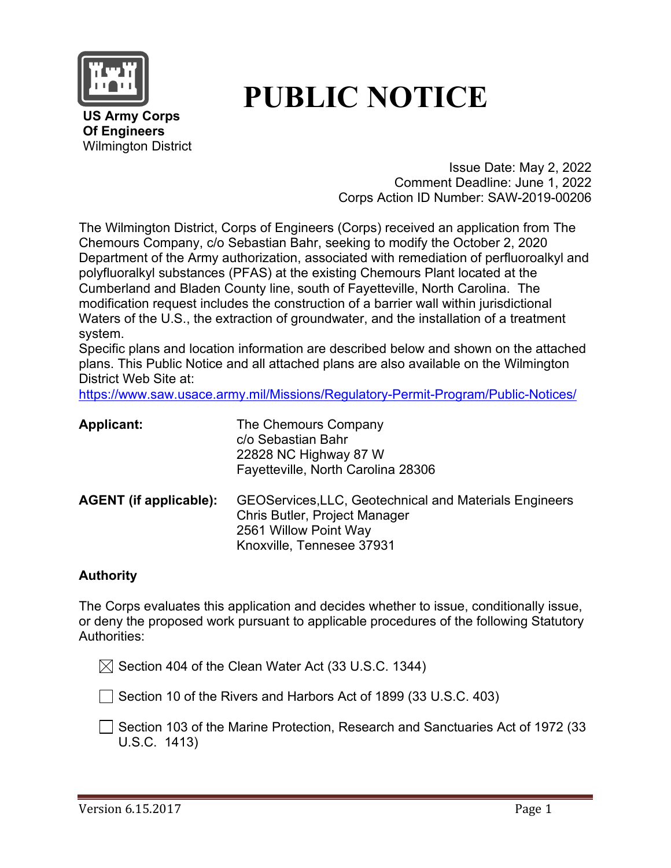

# **PUBLIC NOTICE**

**US Army Corps Of Engineers** Wilmington District

> Issue Date: May 2, 2022 Comment Deadline: June 1, 2022 Corps Action ID Number: SAW-2019-00206

The Wilmington District, Corps of Engineers (Corps) received an application from The Chemours Company, c/o Sebastian Bahr, seeking to modify the October 2, 2020 Department of the Army authorization, associated with remediation of perfluoroalkyl and polyfluoralkyl substances (PFAS) at the existing Chemours Plant located at the Cumberland and Bladen County line, south of Fayetteville, North Carolina. The modification request includes the construction of a barrier wall within jurisdictional Waters of the U.S., the extraction of groundwater, and the installation of a treatment system.

Specific plans and location information are described below and shown on the attached plans. This Public Notice and all attached plans are also available on the Wilmington District Web Site at:

<https://www.saw.usace.army.mil/Missions/Regulatory-Permit-Program/Public-Notices/>

| <b>Applicant:</b>             | The Chemours Company<br>c/o Sebastian Bahr<br>22828 NC Highway 87 W<br>Fayetteville, North Carolina 28306                                            |
|-------------------------------|------------------------------------------------------------------------------------------------------------------------------------------------------|
| <b>AGENT</b> (if applicable): | <b>GEOServices, LLC, Geotechnical and Materials Engineers</b><br>Chris Butler, Project Manager<br>2561 Willow Point Way<br>Knoxville, Tennesee 37931 |

#### **Authority**

The Corps evaluates this application and decides whether to issue, conditionally issue, or deny the proposed work pursuant to applicable procedures of the following Statutory Authorities:

 $\boxtimes$  Section 404 of the Clean Water Act (33 U.S.C. 1344)

 $\Box$  Section 10 of the Rivers and Harbors Act of 1899 (33 U.S.C. 403)

**□ Section 103 of the Marine Protection, Research and Sanctuaries Act of 1972 (33** U.S.C. 1413)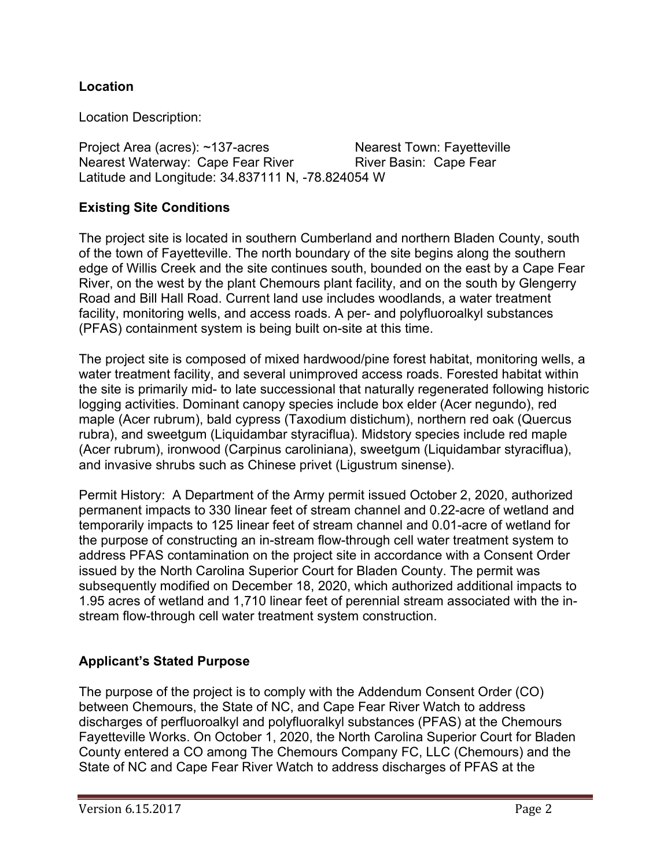## **Location**

Location Description:

Project Area (acres): ~137-acres Nearest Town: Fayetteville Nearest Waterway: Cape Fear River **River Basin: Cape Fear** Latitude and Longitude: 34.837111 N, -78.824054 W

#### **Existing Site Conditions**

The project site is located in southern Cumberland and northern Bladen County, south of the town of Fayetteville. The north boundary of the site begins along the southern edge of Willis Creek and the site continues south, bounded on the east by a Cape Fear River, on the west by the plant Chemours plant facility, and on the south by Glengerry Road and Bill Hall Road. Current land use includes woodlands, a water treatment facility, monitoring wells, and access roads. A per- and polyfluoroalkyl substances (PFAS) containment system is being built on-site at this time.

The project site is composed of mixed hardwood/pine forest habitat, monitoring wells, a water treatment facility, and several unimproved access roads. Forested habitat within the site is primarily mid- to late successional that naturally regenerated following historic logging activities. Dominant canopy species include box elder (Acer negundo), red maple (Acer rubrum), bald cypress (Taxodium distichum), northern red oak (Quercus rubra), and sweetgum (Liquidambar styraciflua). Midstory species include red maple (Acer rubrum), ironwood (Carpinus caroliniana), sweetgum (Liquidambar styraciflua), and invasive shrubs such as Chinese privet (Ligustrum sinense).

Permit History: A Department of the Army permit issued October 2, 2020, authorized permanent impacts to 330 linear feet of stream channel and 0.22-acre of wetland and temporarily impacts to 125 linear feet of stream channel and 0.01-acre of wetland for the purpose of constructing an in-stream flow-through cell water treatment system to address PFAS contamination on the project site in accordance with a Consent Order issued by the North Carolina Superior Court for Bladen County. The permit was subsequently modified on December 18, 2020, which authorized additional impacts to 1.95 acres of wetland and 1,710 linear feet of perennial stream associated with the instream flow-through cell water treatment system construction.

#### **Applicant's Stated Purpose**

The purpose of the project is to comply with the Addendum Consent Order (CO) between Chemours, the State of NC, and Cape Fear River Watch to address discharges of perfluoroalkyl and polyfluoralkyl substances (PFAS) at the Chemours Fayetteville Works. On October 1, 2020, the North Carolina Superior Court for Bladen County entered a CO among The Chemours Company FC, LLC (Chemours) and the State of NC and Cape Fear River Watch to address discharges of PFAS at the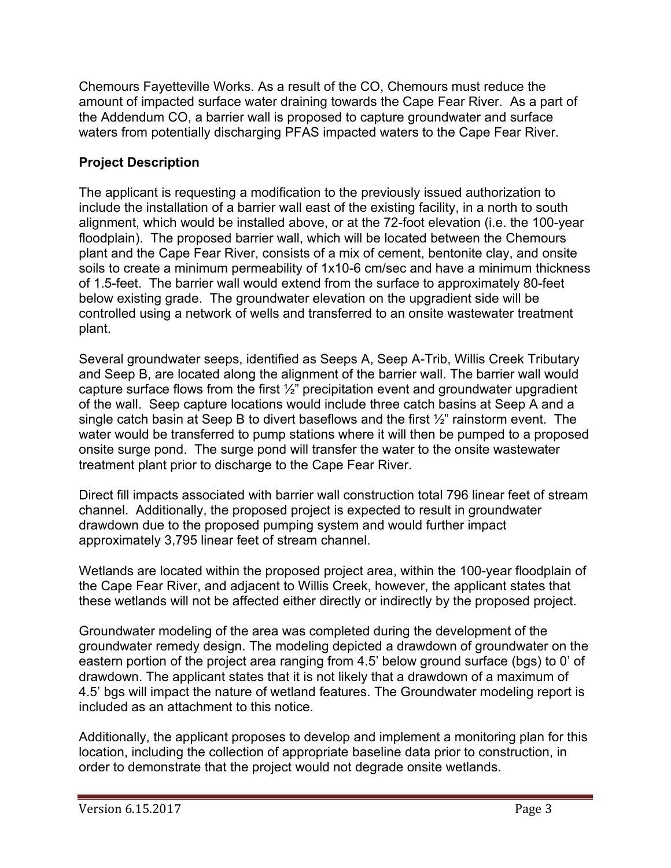Chemours Fayetteville Works. As a result of the CO, Chemours must reduce the amount of impacted surface water draining towards the Cape Fear River. As a part of the Addendum CO, a barrier wall is proposed to capture groundwater and surface waters from potentially discharging PFAS impacted waters to the Cape Fear River.

# **Project Description**

The applicant is requesting a modification to the previously issued authorization to include the installation of a barrier wall east of the existing facility, in a north to south alignment, which would be installed above, or at the 72-foot elevation (i.e. the 100-year floodplain). The proposed barrier wall, which will be located between the Chemours plant and the Cape Fear River, consists of a mix of cement, bentonite clay, and onsite soils to create a minimum permeability of 1x10-6 cm/sec and have a minimum thickness of 1.5-feet. The barrier wall would extend from the surface to approximately 80-feet below existing grade. The groundwater elevation on the upgradient side will be controlled using a network of wells and transferred to an onsite wastewater treatment plant.

Several groundwater seeps, identified as Seeps A, Seep A-Trib, Willis Creek Tributary and Seep B, are located along the alignment of the barrier wall. The barrier wall would capture surface flows from the first  $\frac{1}{2}$ " precipitation event and groundwater upgradient of the wall. Seep capture locations would include three catch basins at Seep A and a single catch basin at Seep B to divert baseflows and the first  $\frac{1}{2}$ " rainstorm event. The water would be transferred to pump stations where it will then be pumped to a proposed onsite surge pond. The surge pond will transfer the water to the onsite wastewater treatment plant prior to discharge to the Cape Fear River.

Direct fill impacts associated with barrier wall construction total 796 linear feet of stream channel. Additionally, the proposed project is expected to result in groundwater drawdown due to the proposed pumping system and would further impact approximately 3,795 linear feet of stream channel.

Wetlands are located within the proposed project area, within the 100-year floodplain of the Cape Fear River, and adjacent to Willis Creek, however, the applicant states that these wetlands will not be affected either directly or indirectly by the proposed project.

Groundwater modeling of the area was completed during the development of the groundwater remedy design. The modeling depicted a drawdown of groundwater on the eastern portion of the project area ranging from 4.5' below ground surface (bgs) to 0' of drawdown. The applicant states that it is not likely that a drawdown of a maximum of 4.5' bgs will impact the nature of wetland features. The Groundwater modeling report is included as an attachment to this notice.

Additionally, the applicant proposes to develop and implement a monitoring plan for this location, including the collection of appropriate baseline data prior to construction, in order to demonstrate that the project would not degrade onsite wetlands.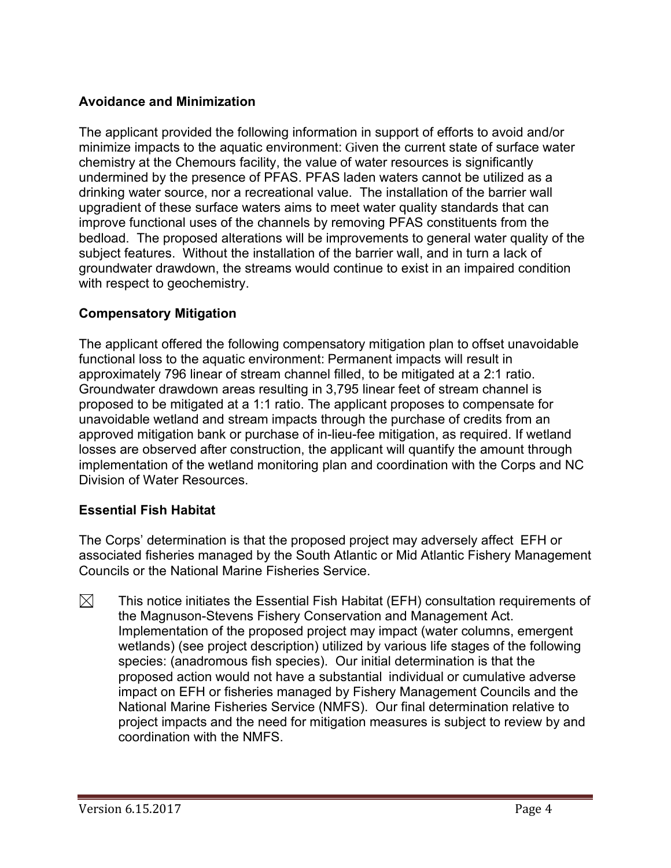## **Avoidance and Minimization**

The applicant provided the following information in support of efforts to avoid and/or minimize impacts to the aquatic environment: Given the current state of surface water chemistry at the Chemours facility, the value of water resources is significantly undermined by the presence of PFAS. PFAS laden waters cannot be utilized as a drinking water source, nor a recreational value. The installation of the barrier wall upgradient of these surface waters aims to meet water quality standards that can improve functional uses of the channels by removing PFAS constituents from the bedload. The proposed alterations will be improvements to general water quality of the subject features. Without the installation of the barrier wall, and in turn a lack of groundwater drawdown, the streams would continue to exist in an impaired condition with respect to geochemistry.

## **Compensatory Mitigation**

The applicant offered the following compensatory mitigation plan to offset unavoidable functional loss to the aquatic environment: Permanent impacts will result in approximately 796 linear of stream channel filled, to be mitigated at a 2:1 ratio. Groundwater drawdown areas resulting in 3,795 linear feet of stream channel is proposed to be mitigated at a 1:1 ratio. The applicant proposes to compensate for unavoidable wetland and stream impacts through the purchase of credits from an approved mitigation bank or purchase of in-lieu-fee mitigation, as required. If wetland losses are observed after construction, the applicant will quantify the amount through implementation of the wetland monitoring plan and coordination with the Corps and NC Division of Water Resources.

## **Essential Fish Habitat**

The Corps' determination is that the proposed project may adversely affect EFH or associated fisheries managed by the South Atlantic or Mid Atlantic Fishery Management Councils or the National Marine Fisheries Service.

 $\boxtimes$ This notice initiates the Essential Fish Habitat (EFH) consultation requirements of the Magnuson-Stevens Fishery Conservation and Management Act. Implementation of the proposed project may impact (water columns, emergent wetlands) (see project description) utilized by various life stages of the following species: (anadromous fish species). Our initial determination is that the proposed action would not have a substantial individual or cumulative adverse impact on EFH or fisheries managed by Fishery Management Councils and the National Marine Fisheries Service (NMFS). Our final determination relative to project impacts and the need for mitigation measures is subject to review by and coordination with the NMFS.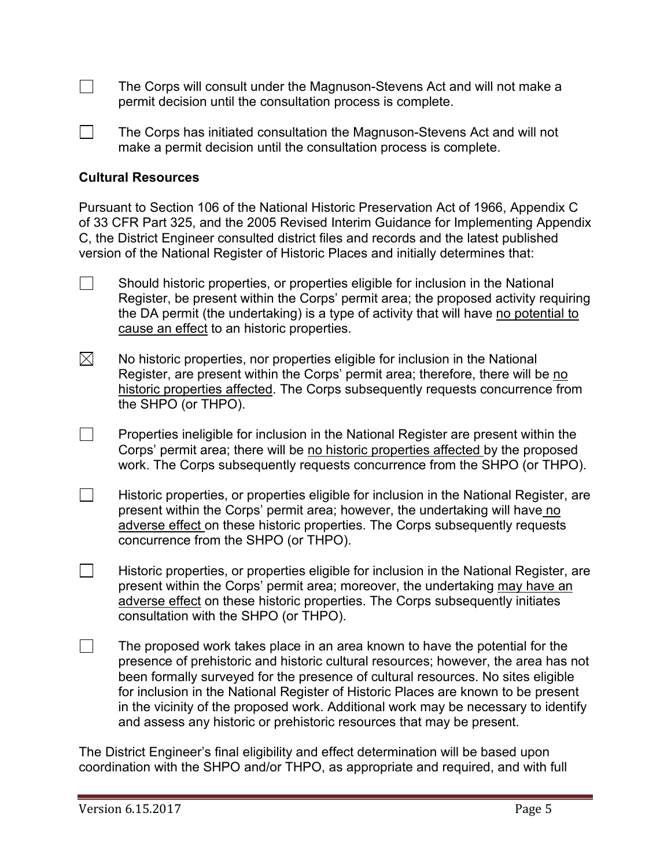$\Box$ The Corps will consult under the Magnuson-Stevens Act and will not make a permit decision until the consultation process is complete.

The Corps has initiated consultation the Magnuson-Stevens Act and will not make a permit decision until the consultation process is complete.

#### **Cultural Resources**

Pursuant to Section 106 of the National Historic Preservation Act of 1966, Appendix C of 33 CFR Part 325, and the 2005 Revised Interim Guidance for Implementing Appendix C, the District Engineer consulted district files and records and the latest published version of the National Register of Historic Places and initially determines that:

- $\Box$  Should historic properties, or properties eligible for inclusion in the National Register, be present within the Corps' permit area; the proposed activity requiring the DA permit (the undertaking) is a type of activity that will have no potential to cause an effect to an historic properties.
- No historic properties, nor properties eligible for inclusion in the National Register, are present within the Corps' permit area; therefore, there will be no historic properties affected. The Corps subsequently requests concurrence from the SHPO (or THPO).
- $\Box$  Properties ineligible for inclusion in the National Register are present within the Corps' permit area; there will be no historic properties affected by the proposed work. The Corps subsequently requests concurrence from the SHPO (or THPO).
- $\Box$ Historic properties, or properties eligible for inclusion in the National Register, are present within the Corps' permit area; however, the undertaking will have no adverse effect on these historic properties. The Corps subsequently requests concurrence from the SHPO (or THPO).
- $\Box$ Historic properties, or properties eligible for inclusion in the National Register, are present within the Corps' permit area; moreover, the undertaking may have an adverse effect on these historic properties. The Corps subsequently initiates consultation with the SHPO (or THPO).
- $\Box$ The proposed work takes place in an area known to have the potential for the presence of prehistoric and historic cultural resources; however, the area has not been formally surveyed for the presence of cultural resources. No sites eligible for inclusion in the National Register of Historic Places are known to be present in the vicinity of the proposed work. Additional work may be necessary to identify and assess any historic or prehistoric resources that may be present.

The District Engineer's final eligibility and effect determination will be based upon coordination with the SHPO and/or THPO, as appropriate and required, and with full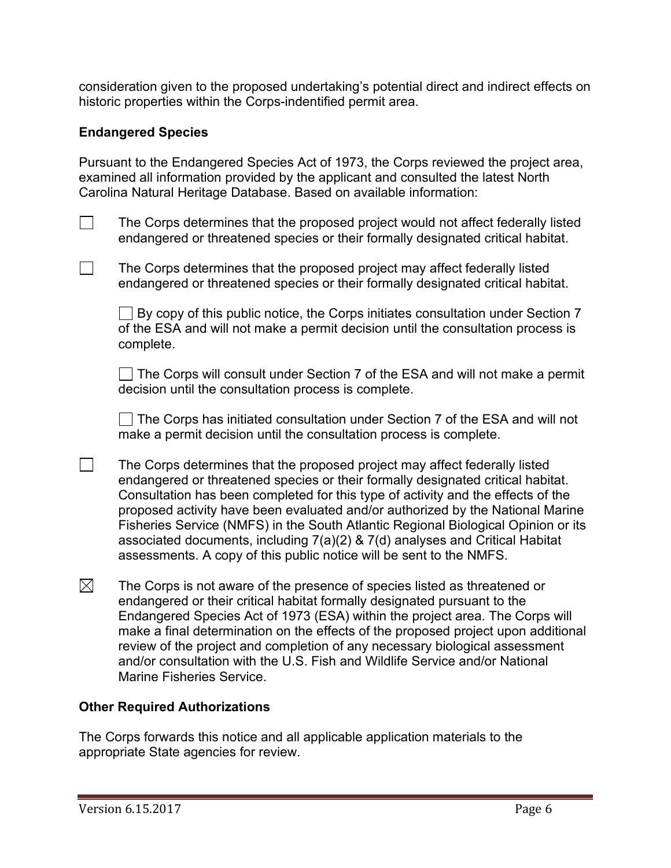consideration given to the proposed undertaking's potential direct and indirect effects on historic properties within the Corps-indentified permit area.

#### **Endangered Species**

Pursuant to the Endangered Species Act of 1973, the Corps reviewed the project area, examined all information provided by the applicant and consulted the latest North Carolina Natural Heritage Database. Based on available information:

The Corps determines that the proposed project would not affect federally listed endangered or threatened species or their formally designated critical habitat.

The Corps determines that the proposed project may affect federally listed endangered or threatened species or their formally designated critical habitat.

 $\Box$  By copy of this public notice, the Corps initiates consultation under Section 7 of the ESA and will not make a permit decision until the consultation process is complete.

 $\Box$  The Corps will consult under Section 7 of the ESA and will not make a permit decision until the consultation process is complete.

The Corps has initiated consultation under Section 7 of the ESA and will not make a permit decision until the consultation process is complete.

- $\Box$  The Corps determines that the proposed project may affect federally listed endangered or threatened species or their formally designated critical habitat. Consultation has been completed for this type of activity and the effects of the proposed activity have been evaluated and/or authorized by the National Marine Fisheries Service (NMFS) in the South Atlantic Regional Biological Opinion or its associated documents, including 7(a)(2) & 7(d) analyses and Critical Habitat assessments. A copy of this public notice will be sent to the NMFS.
- $\boxtimes$  The Corps is not aware of the presence of species listed as threatened or endangered or their critical habitat formally designated pursuant to the Endangered Species Act of 1973 (ESA) within the project area. The Corps will make a final determination on the effects of the proposed project upon additional review of the project and completion of any necessary biological assessment and/or consultation with the U.S. Fish and Wildlife Service and/or National Marine Fisheries Service.

#### **Other Required Authorizations**

The Corps forwards this notice and all applicable application materials to the appropriate State agencies for review.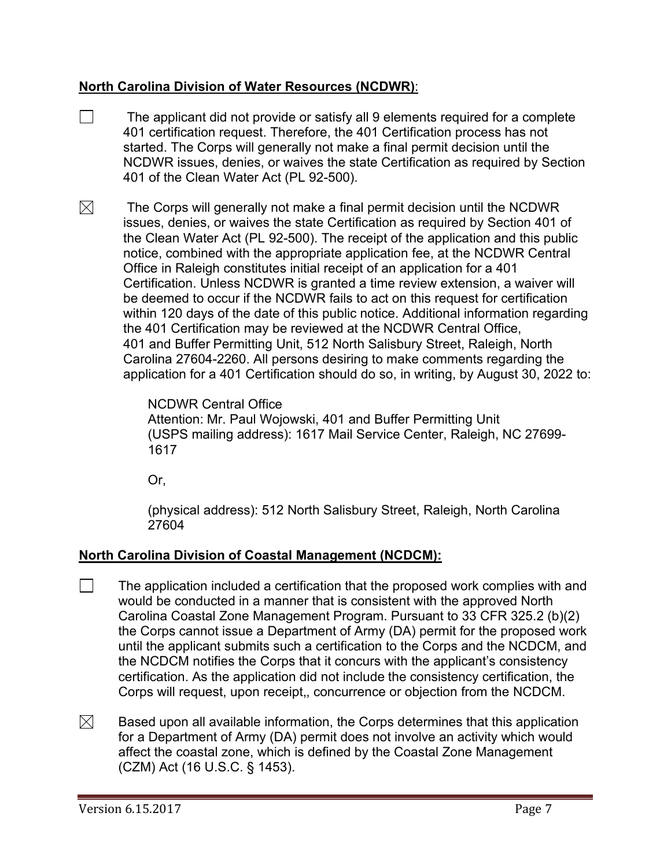#### **North Carolina Division of Water Resources (NCDWR)**:

- $\Box$  The applicant did not provide or satisfy all 9 elements required for a complete 401 certification request. Therefore, the 401 Certification process has not started. The Corps will generally not make a final permit decision until the NCDWR issues, denies, or waives the state Certification as required by Section 401 of the Clean Water Act (PL 92-500).
- $\boxtimes$  The Corps will generally not make a final permit decision until the NCDWR issues, denies, or waives the state Certification as required by Section 401 of the Clean Water Act (PL 92-500). The receipt of the application and this public notice, combined with the appropriate application fee, at the NCDWR Central Office in Raleigh constitutes initial receipt of an application for a 401 Certification. Unless NCDWR is granted a time review extension, a waiver will be deemed to occur if the NCDWR fails to act on this request for certification within 120 days of the date of this public notice. Additional information regarding the 401 Certification may be reviewed at the NCDWR Central Office, 401 and Buffer Permitting Unit, 512 North Salisbury Street, Raleigh, North Carolina 27604-2260. All persons desiring to make comments regarding the application for a 401 Certification should do so, in writing, by August 30, 2022 to:

NCDWR Central Office Attention: Mr. Paul Wojowski, 401 and Buffer Permitting Unit (USPS mailing address): 1617 Mail Service Center, Raleigh, NC 27699- 1617

Or,

(physical address): 512 North Salisbury Street, Raleigh, North Carolina 27604

## **North Carolina Division of Coastal Management (NCDCM):**

- $\Box$ The application included a certification that the proposed work complies with and would be conducted in a manner that is consistent with the approved North Carolina Coastal Zone Management Program. Pursuant to 33 CFR 325.2 (b)(2) the Corps cannot issue a Department of Army (DA) permit for the proposed work until the applicant submits such a certification to the Corps and the NCDCM, and the NCDCM notifies the Corps that it concurs with the applicant's consistency certification. As the application did not include the consistency certification, the Corps will request, upon receipt,, concurrence or objection from the NCDCM.
- $\boxtimes$ Based upon all available information, the Corps determines that this application for a Department of Army (DA) permit does not involve an activity which would affect the coastal zone, which is defined by the Coastal Zone Management (CZM) Act (16 U.S.C. § 1453).